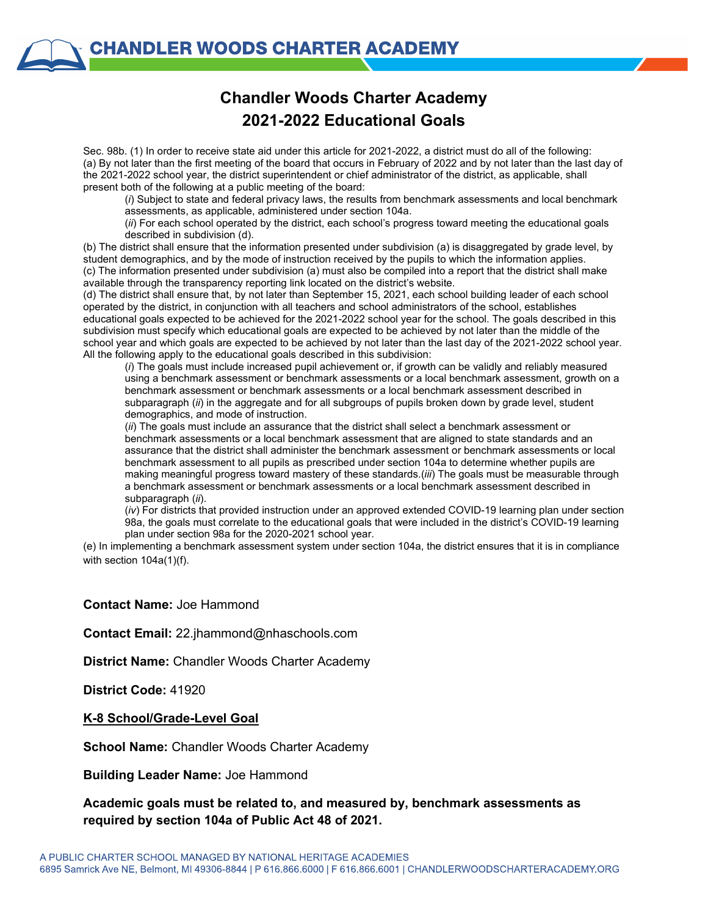## **Chandler Woods Charter Academy 2021-2022 Educational Goals**

Sec. 98b. (1) In order to receive state aid under this article for 2021-2022, a district must do all of the following: (a) By not later than the first meeting of the board that occurs in February of 2022 and by not later than the last day of the 2021-2022 school year, the district superintendent or chief administrator of the district, as applicable, shall present both of the following at a public meeting of the board:

(*i*) Subject to state and federal privacy laws, the results from benchmark assessments and local benchmark assessments, as applicable, administered under section 104a.

(*ii*) For each school operated by the district, each school's progress toward meeting the educational goals described in subdivision (d).

(b) The district shall ensure that the information presented under subdivision (a) is disaggregated by grade level, by student demographics, and by the mode of instruction received by the pupils to which the information applies. (c) The information presented under subdivision (a) must also be compiled into a report that the district shall make available through the transparency reporting link located on the district's website.

(d) The district shall ensure that, by not later than September 15, 2021, each school building leader of each school operated by the district, in conjunction with all teachers and school administrators of the school, establishes educational goals expected to be achieved for the 2021-2022 school year for the school. The goals described in this subdivision must specify which educational goals are expected to be achieved by not later than the middle of the school year and which goals are expected to be achieved by not later than the last day of the 2021-2022 school year. All the following apply to the educational goals described in this subdivision:

(*i*) The goals must include increased pupil achievement or, if growth can be validly and reliably measured using a benchmark assessment or benchmark assessments or a local benchmark assessment, growth on a benchmark assessment or benchmark assessments or a local benchmark assessment described in subparagraph (*ii*) in the aggregate and for all subgroups of pupils broken down by grade level, student demographics, and mode of instruction.

(*ii*) The goals must include an assurance that the district shall select a benchmark assessment or benchmark assessments or a local benchmark assessment that are aligned to state standards and an assurance that the district shall administer the benchmark assessment or benchmark assessments or local benchmark assessment to all pupils as prescribed under section 104a to determine whether pupils are making meaningful progress toward mastery of these standards.(*iii*) The goals must be measurable through a benchmark assessment or benchmark assessments or a local benchmark assessment described in subparagraph (*ii*).

(*iv*) For districts that provided instruction under an approved extended COVID-19 learning plan under section 98a, the goals must correlate to the educational goals that were included in the district's COVID-19 learning plan under section 98a for the 2020-2021 school year.

(e) In implementing a benchmark assessment system under section 104a, the district ensures that it is in compliance with section 104a(1)(f).

#### **Contact Name:** Joe Hammond

**Contact Email:** 22.jhammond@nhaschools.com

**District Name:** Chandler Woods Charter Academy

**District Code:** 41920

#### **K-8 School/Grade-Level Goal**

**School Name:** Chandler Woods Charter Academy

**Building Leader Name:** Joe Hammond

### **Academic goals must be related to, and measured by, benchmark assessments as required by section 104a of Public Act 48 of 2021.**